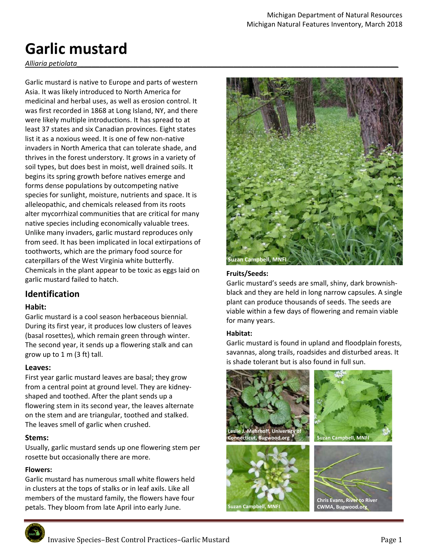# **Garlic mustard**

*Alliaria petiolata\_\_\_\_\_\_\_\_\_\_\_\_\_\_\_\_\_\_\_\_\_\_\_\_\_\_\_\_\_\_\_\_\_\_\_\_\_\_\_\_\_\_\_\_\_\_\_\_\_\_\_\_\_\_\_\_\_\_\_\_\_\_\_\_\_\_\_\_\_\_\_\_\_\_\_\_\_\_\_\_\_\_\_\_* 

Garlic mustard is native to Europe and parts of western Asia. It was likely introduced to North America for medicinal and herbal uses, as well as erosion control. It was first recorded in 1868 at Long Island, NY, and there were likely multiple introductions. It has spread to at least 37 states and six Canadian provinces. Eight states list it as a noxious weed. It is one of few non‐native invaders in North America that can tolerate shade, and thrives in the forest understory. It grows in a variety of soil types, but does best in moist, well drained soils. It begins its spring growth before natives emerge and forms dense populations by outcompeting native species for sunlight, moisture, nutrients and space. It is alleleopathic, and chemicals released from its roots alter mycorrhizal communities that are critical for many native species including economically valuable trees. Unlike many invaders, garlic mustard reproduces only from seed. It has been implicated in local extirpations of toothworts, which are the primary food source for caterpillars of the West Virginia white butterfly. Chemicals in the plant appear to be toxic as eggs laid on garlic mustard failed to hatch.

# **Identification**

#### **Habit:**

Garlic mustard is a cool season herbaceous biennial. During its first year, it produces low clusters of leaves (basal rosettes), which remain green through winter. The second year, it sends up a flowering stalk and can grow up to 1 m (3 ft) tall.

## **Leaves:**

First year garlic mustard leaves are basal; they grow from a central point at ground level. They are kidney‐ shaped and toothed. After the plant sends up a flowering stem in its second year, the leaves alternate on the stem and are triangular, toothed and stalked. The leaves smell of garlic when crushed.

#### **Stems:**

Usually, garlic mustard sends up one flowering stem per rosette but occasionally there are more.

#### **Flowers:**

Garlic mustard has numerous small white flowers held in clusters at the tops of stalks or in leaf axils. Like all members of the mustard family, the flowers have four petals. They bloom from late April into early June.



#### **Fruits/Seeds:**

Garlic mustard's seeds are small, shiny, dark brownish‐ black and they are held in long narrow capsules. A single plant can produce thousands of seeds. The seeds are viable within a few days of flowering and remain viable for many years.

#### **Habitat:**

Garlic mustard is found in upland and floodplain forests, savannas, along trails, roadsides and disturbed areas. It is shade tolerant but is also found in full sun.

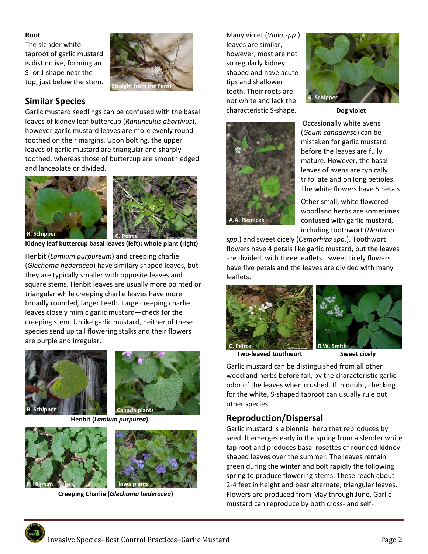#### **Root**

The slender white taproot of garlic mustard is distinctive, forming an S‐ or J‐shape near the top, just below the stem.



# **Similar Species**

Garlic mustard seedlings can be confused with the basal leaves of kidney leaf buttercup (*Ranunculus abortivus*), however garlic mustard leaves are more evenly round‐ toothed on their margins. Upon bolting, the upper leaves of garlic mustard are triangular and sharply toothed, whereas those of buttercup are smooth edged and lanceolate or divided.



**Kidney leaf buttercup basal leaves (left); whole plant (right)** 

Henbit (*Lamium purpureum*) and creeping charlie (*Glechoma hederacea*) have similary shaped leaves, but they are typically smaller with opposite leaves and square stems. Henbit leaves are usually more pointed or triangular while creeping charlie leaves have more broadly rounded, larger teeth. Large creeping charlie leaves closely mimic garlic mustard—check for the creeping stem. Unlike garlic mustard, neither of these species send up tall flowering stalks and their flowers are purple and irregular.





 **Henbit (***Lamium purpurea***)** 





 **Creeping Charlie (***Glechoma hederacea***)** 

Many violet (*Viola spp*.) leaves are similar, however, most are not so regularly kidney shaped and have acute tips and shallower teeth. Their roots are not white and lack the characteristic S-shape. **Dog violet** 





Occasionally white avens (*Geum canadense*) can be mistaken for garlic mustard before the leaves are fully mature. However, the basal leaves of avens are typically trifoliate and on long petioles. The white flowers have 5 petals.

Other small, white flowered woodland herbs are sometimes confused with garlic mustard, including toothwort (*Dentaria* 

*spp*.) and sweet cicely (*Osmorhiza spp.*). Toothwort flowers have 4 petals like garlic mustard, but the leaves are divided, with three leaflets. Sweet cicely flowers have five petals and the leaves are divided with many leaflets.





**Two‐leaved toothwort Sweet cicely** 

Garlic mustard can be distinguished from all other woodland herbs before fall, by the characteristic garlic odor of the leaves when crushed. If in doubt, checking for the white, S‐shaped taproot can usually rule out other species.

# **Reproduction/Dispersal**

Garlic mustard is a biennial herb that reproduces by seed. It emerges early in the spring from a slender white tap root and produces basal rosettes of rounded kidney‐ shaped leaves over the summer. The leaves remain green during the winter and bolt rapidly the following spring to produce flowering stems. These reach about 2‐4 feet in height and bear alternate, triangular leaves. Flowers are produced from May through June. Garlic mustard can reproduce by both cross‐ and self‐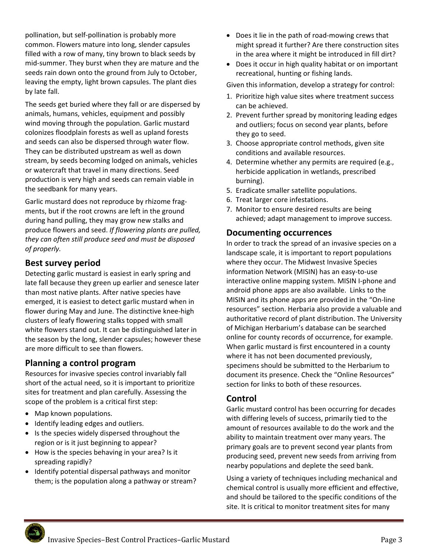pollination, but self‐pollination is probably more common. Flowers mature into long, slender capsules filled with a row of many, tiny brown to black seeds by mid‐summer. They burst when they are mature and the seeds rain down onto the ground from July to October, leaving the empty, light brown capsules. The plant dies by late fall.

The seeds get buried where they fall or are dispersed by animals, humans, vehicles, equipment and possibly wind moving through the population. Garlic mustard colonizes floodplain forests as well as upland forests and seeds can also be dispersed through water flow. They can be distributed upstream as well as down stream, by seeds becoming lodged on animals, vehicles or watercraft that travel in many directions. Seed production is very high and seeds can remain viable in the seedbank for many years.

Garlic mustard does not reproduce by rhizome frag‐ ments, but if the root crowns are left in the ground during hand pulling, they may grow new stalks and produce flowers and seed. *If flowering plants are pulled, they can often still produce seed and must be disposed of properly.* 

# **Best survey period**

Detecting garlic mustard is easiest in early spring and late fall because they green up earlier and senesce later than most native plants. After native species have emerged, it is easiest to detect garlic mustard when in flower during May and June. The distinctive knee‐high clusters of leafy flowering stalks topped with small white flowers stand out. It can be distinguished later in the season by the long, slender capsules; however these are more difficult to see than flowers.

# **Planning a control program**

Resources for invasive species control invariably fall short of the actual need, so it is important to prioritize sites for treatment and plan carefully. Assessing the scope of the problem is a critical first step:

- Map known populations.
- Identify leading edges and outliers.
- Is the species widely dispersed throughout the region or is it just beginning to appear?
- How is the species behaving in your area? Is it spreading rapidly?
- Identify potential dispersal pathways and monitor them; is the population along a pathway or stream?
- Does it lie in the path of road-mowing crews that might spread it further? Are there construction sites in the area where it might be introduced in fill dirt?
- Does it occur in high quality habitat or on important recreational, hunting or fishing lands.

Given this information, develop a strategy for control:

- 1. Prioritize high value sites where treatment success can be achieved.
- 2. Prevent further spread by monitoring leading edges and outliers; focus on second year plants, before they go to seed.
- 3. Choose appropriate control methods, given site conditions and available resources.
- 4. Determine whether any permits are required (e.g., herbicide application in wetlands, prescribed burning).
- 5. Eradicate smaller satellite populations.
- 6. Treat larger core infestations.
- 7. Monitor to ensure desired results are being achieved; adapt management to improve success.

## **Documenting occurrences**

In order to track the spread of an invasive species on a landscape scale, it is important to report populations where they occur. The Midwest Invasive Species information Network (MISIN) has an easy‐to‐use interactive online mapping system. MISIN I‐phone and android phone apps are also available. Links to the MISIN and its phone apps are provided in the "On‐line resources" section. Herbaria also provide a valuable and authoritative record of plant distribution. The University of Michigan Herbarium's database can be searched online for county records of occurrence, for example. When garlic mustard is first encountered in a county where it has not been documented previously, specimens should be submitted to the Herbarium to document its presence. Check the "Online Resources" section for links to both of these resources.

## **Control**

Garlic mustard control has been occurring for decades with differing levels of success, primarily tied to the amount of resources available to do the work and the ability to maintain treatment over many years. The primary goals are to prevent second year plants from producing seed, prevent new seeds from arriving from nearby populations and deplete the seed bank.

Using a variety of techniques including mechanical and chemical control is usually more efficient and effective, and should be tailored to the specific conditions of the site. It is critical to monitor treatment sites for many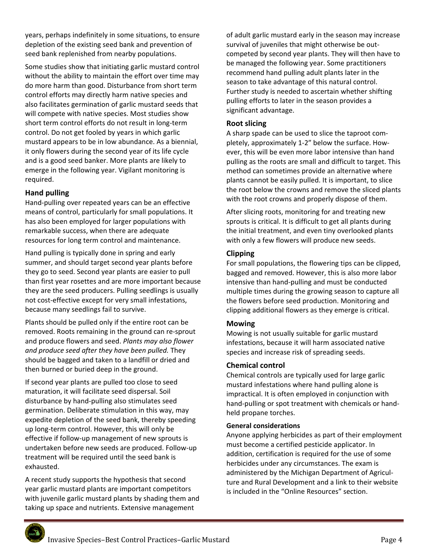years, perhaps indefinitely in some situations, to ensure depletion of the existing seed bank and prevention of seed bank replenished from nearby populations.

Some studies show that initiating garlic mustard control without the ability to maintain the effort over time may do more harm than good. Disturbance from short term control efforts may directly harm native species and also facilitates germination of garlic mustard seeds that will compete with native species. Most studies show short term control efforts do not result in long‐term control. Do not get fooled by years in which garlic mustard appears to be in low abundance. As a biennial, it only flowers during the second year of its life cycle and is a good seed banker. More plants are likely to emerge in the following year. Vigilant monitoring is required.

#### **Hand pulling**

Hand‐pulling over repeated years can be an effective means of control, particularly for small populations. It has also been employed for larger populations with remarkable success, when there are adequate resources for long term control and maintenance.

Hand pulling is typically done in spring and early summer, and should target second year plants before they go to seed. Second year plants are easier to pull than first year rosettes and are more important because they are the seed producers. Pulling seedlings is usually not cost‐effective except for very small infestations, because many seedlings fail to survive.

Plants should be pulled only if the entire root can be removed. Roots remaining in the ground can re‐sprout and produce flowers and seed. *Plants may also flower and produce seed after they have been pulled.* They should be bagged and taken to a landfill or dried and then burned or buried deep in the ground.

If second year plants are pulled too close to seed maturation, it will facilitate seed dispersal. Soil disturbance by hand‐pulling also stimulates seed germination. Deliberate stimulation in this way, may expedite depletion of the seed bank, thereby speeding up long‐term control. However, this will only be effective if follow‐up management of new sprouts is undertaken before new seeds are produced. Follow‐up treatment will be required until the seed bank is exhausted.

A recent study supports the hypothesis that second year garlic mustard plants are important competitors with juvenile garlic mustard plants by shading them and taking up space and nutrients. Extensive management

of adult garlic mustard early in the season may increase survival of juveniles that might otherwise be out‐ competed by second year plants. They will then have to be managed the following year. Some practitioners recommend hand pulling adult plants later in the season to take advantage of this natural control. Further study is needed to ascertain whether shifting pulling efforts to later in the season provides a significant advantage.

#### **Root slicing**

A sharp spade can be used to slice the taproot com‐ pletely, approximately 1‐2" below the surface. How‐ ever, this will be even more labor intensive than hand pulling as the roots are small and difficult to target. This method can sometimes provide an alternative where plants cannot be easily pulled. It is important, to slice the root below the crowns and remove the sliced plants with the root crowns and properly dispose of them.

After slicing roots, monitoring for and treating new sprouts is critical. It is difficult to get all plants during the initial treatment, and even tiny overlooked plants with only a few flowers will produce new seeds.

#### **Clipping**

For small populations, the flowering tips can be clipped, bagged and removed. However, this is also more labor intensive than hand‐pulling and must be conducted multiple times during the growing season to capture all the flowers before seed production. Monitoring and clipping additional flowers as they emerge is critical.

#### **Mowing**

Mowing is not usually suitable for garlic mustard infestations, because it will harm associated native species and increase risk of spreading seeds.

#### **Chemical control**

Chemical controls are typically used for large garlic mustard infestations where hand pulling alone is impractical. It is often employed in conjunction with hand‐pulling or spot treatment with chemicals or hand‐ held propane torches.

#### **General considerations**

Anyone applying herbicides as part of their employment must become a certified pesticide applicator. In addition, certification is required for the use of some herbicides under any circumstances. The exam is administered by the Michigan Department of Agricul‐ ture and Rural Development and a link to their website is included in the "Online Resources" section.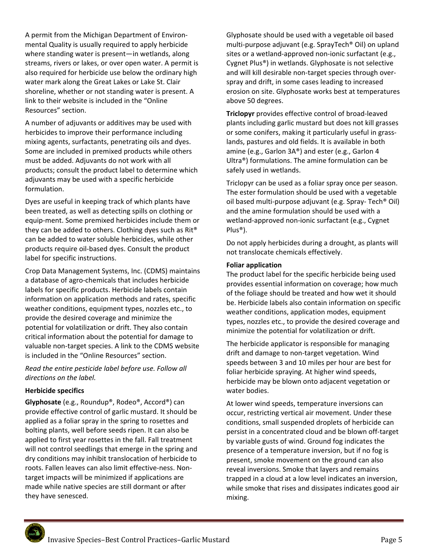A permit from the Michigan Department of Environ‐ mental Quality is usually required to apply herbicide where standing water is present—in wetlands, along streams, rivers or lakes, or over open water. A permit is also required for herbicide use below the ordinary high water mark along the Great Lakes or Lake St. Clair shoreline, whether or not standing water is present. A link to their website is included in the "Online Resources" section.

A number of adjuvants or additives may be used with herbicides to improve their performance including mixing agents, surfactants, penetrating oils and dyes. Some are included in premixed products while others must be added. Adjuvants do not work with all products; consult the product label to determine which adjuvants may be used with a specific herbicide formulation.

Dyes are useful in keeping track of which plants have been treated, as well as detecting spills on clothing or equip‐ment. Some premixed herbicides include them or they can be added to others. Clothing dyes such as Rit® can be added to water soluble herbicides, while other products require oil‐based dyes. Consult the product label for specific instructions.

Crop Data Management Systems, Inc. (CDMS) maintains a database of agro‐chemicals that includes herbicide labels for specific products. Herbicide labels contain information on application methods and rates, specific weather conditions, equipment types, nozzles etc., to provide the desired coverage and minimize the potential for volatilization or drift. They also contain critical information about the potential for damage to valuable non-target species. A link to the CDMS website is included in the "Online Resources" section.

*Read the entire pesticide label before use. Follow all directions on the label.* 

#### **Herbicide specifics**

**Glyphosate** (e.g., Roundup®, Rodeo®, Accord®) can provide effective control of garlic mustard. It should be applied as a foliar spray in the spring to rosettes and bolting plants, well before seeds ripen. It can also be applied to first year rosettes in the fall. Fall treatment will not control seedlings that emerge in the spring and dry conditions may inhibit translocation of herbicide to roots. Fallen leaves can also limit effective‐ness. Non‐ target impacts will be minimized if applications are made while native species are still dormant or after they have senesced.

Glyphosate should be used with a vegetable oil based multi‐purpose adjuvant (e.g. SprayTech® Oil) on upland sites or a wetland‐approved non‐ionic surfactant (e.g., Cygnet Plus®) in wetlands. Glyphosate is not selective and will kill desirable non-target species through overspray and drift, in some cases leading to increased erosion on site. Glyphosate works best at temperatures above 50 degrees.

**Triclopyr** provides effective control of broad‐leaved plants including garlic mustard but does not kill grasses or some conifers, making it particularly useful in grass‐ lands, pastures and old fields. It is available in both amine (e.g., Garlon 3A®) and ester (e.g., Garlon 4 Ultra®) formulations. The amine formulation can be safely used in wetlands.

Triclopyr can be used as a foliar spray once per season. The ester formulation should be used with a vegetable oil based multi‐purpose adjuvant (e.g. Spray‐ Tech® Oil) and the amine formulation should be used with a wetland‐approved non‐ionic surfactant (e.g., Cygnet Plus®).

Do not apply herbicides during a drought, as plants will not translocate chemicals effectively.

#### **Foliar application**

The product label for the specific herbicide being used provides essential information on coverage; how much of the foliage should be treated and how wet it should be. Herbicide labels also contain information on specific weather conditions, application modes, equipment types, nozzles etc., to provide the desired coverage and minimize the potential for volatilization or drift.

The herbicide applicator is responsible for managing drift and damage to non‐target vegetation. Wind speeds between 3 and 10 miles per hour are best for foliar herbicide spraying. At higher wind speeds, herbicide may be blown onto adjacent vegetation or water bodies.

At lower wind speeds, temperature inversions can occur, restricting vertical air movement. Under these conditions, small suspended droplets of herbicide can persist in a concentrated cloud and be blown off‐target by variable gusts of wind. Ground fog indicates the presence of a temperature inversion, but if no fog is present, smoke movement on the ground can also reveal inversions. Smoke that layers and remains trapped in a cloud at a low level indicates an inversion, while smoke that rises and dissipates indicates good air mixing.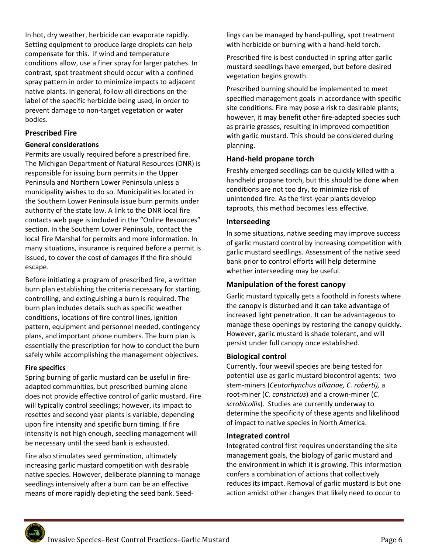In hot, dry weather, herbicide can evaporate rapidly. Setting equipment to produce large droplets can help compensate for this. If wind and temperature conditions allow, use a finer spray for larger patches. In contrast, spot treatment should occur with a confined spray pattern in order to minimize impacts to adjacent native plants. In general, follow all directions on the label of the specific herbicide being used, in order to prevent damage to non‐target vegetation or water bodies.

#### **Prescribed Fire**

#### **General considerations**

Permits are usually required before a prescribed fire. The Michigan Department of Natural Resources (DNR) is responsible for issuing burn permits in the Upper Peninsula and Northern Lower Peninsula unless a municipality wishes to do so. Municipalities located in the Southern Lower Peninsula issue burn permits under authority of the state law. A link to the DNR local fire contacts web page is included in the "Online Resources" section. In the Southern Lower Peninsula, contact the local Fire Marshal for permits and more information. In many situations, insurance is required before a permit is issued, to cover the cost of damages if the fire should escape.

Before initiating a program of prescribed fire, a written burn plan establishing the criteria necessary for starting, controlling, and extinguishing a burn is required. The burn plan includes details such as specific weather conditions, locations of fire control lines, ignition pattern, equipment and personnel needed, contingency plans, and important phone numbers. The burn plan is essentially the prescription for how to conduct the burn safely while accomplishing the management objectives.

#### **Fire specifics**

Spring burning of garlic mustard can be useful in fire‐ adapted communities, but prescribed burning alone does not provide effective control of garlic mustard. Fire will typically control seedlings; however, its impact to rosettes and second year plants is variable, depending upon fire intensity and specific burn timing. If fire intensity is not high enough, seedling management will be necessary until the seed bank is exhausted.

Fire also stimulates seed germination, ultimately increasing garlic mustard competition with desirable native species. However, deliberate planning to manage seedlings intensively after a burn can be an effective means of more rapidly depleting the seed bank. Seed‐

lings can be managed by hand‐pulling, spot treatment with herbicide or burning with a hand‐held torch.

Prescribed fire is best conducted in spring after garlic mustard seedlings have emerged, but before desired vegetation begins growth.

Prescribed burning should be implemented to meet specified management goals in accordance with specific site conditions. Fire may pose a risk to desirable plants; however, it may benefit other fire-adapted species such as prairie grasses, resulting in improved competition with garlic mustard. This should be considered during planning.

## **Hand‐held propane torch**

Freshly emerged seedlings can be quickly killed with a handheld propane torch, but this should be done when conditions are not too dry, to minimize risk of unintended fire. As the first‐year plants develop taproots, this method becomes less effective.

## **Interseeding**

In some situations, native seeding may improve success of garlic mustard control by increasing competition with garlic mustard seedlings. Assessment of the native seed bank prior to control efforts will help determine whether interseeding may be useful.

## **Manipulation of the forest canopy**

Garlic mustard typically gets a foothold in forests where the canopy is disturbed and it can take advantage of increased light penetration. It can be advantageous to manage these openings by restoring the canopy quickly. However, garlic mustard is shade tolerant, and will persist under full canopy once established.

#### **Biological control**

Currently, four weevil species are being tested for potential use as garlic mustard biocontrol agents: two stem‐miners (*Ceutorhynchus alliariae, C. roberti),* a root‐miner (*C. constrictus*) and a crown‐miner (*C. scrobicollis*). Studies are currently underway to determine the specificity of these agents and likelihood of impact to native species in North America.

#### **Integrated control**

Integrated control first requires understanding the site management goals, the biology of garlic mustard and the environment in which it is growing. This information confers a combination of actions that collectively reduces its impact. Removal of garlic mustard is but one action amidst other changes that likely need to occur to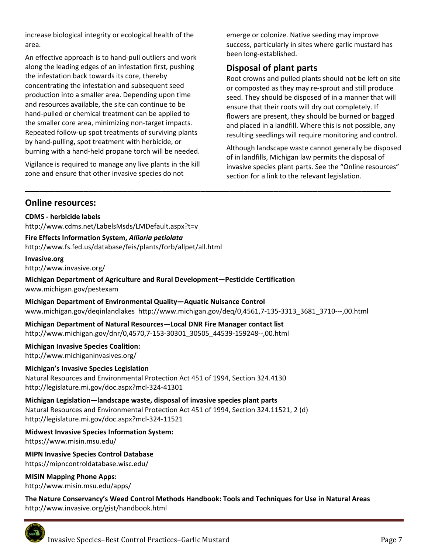increase biological integrity or ecological health of the area.

An effective approach is to hand‐pull outliers and work along the leading edges of an infestation first, pushing the infestation back towards its core, thereby concentrating the infestation and subsequent seed production into a smaller area. Depending upon time and resources available, the site can continue to be hand‐pulled or chemical treatment can be applied to the smaller core area, minimizing non‐target impacts. Repeated follow‐up spot treatments of surviving plants by hand‐pulling, spot treatment with herbicide, or burning with a hand‐held propane torch will be needed.

Vigilance is required to manage any live plants in the kill zone and ensure that other invasive species do not

emerge or colonize. Native seeding may improve success, particularly in sites where garlic mustard has been long‐established.

# **Disposal of plant parts**

Root crowns and pulled plants should not be left on site or composted as they may re‐sprout and still produce seed. They should be disposed of in a manner that will ensure that their roots will dry out completely. If flowers are present, they should be burned or bagged and placed in a landfill. Where this is not possible, any resulting seedlings will require monitoring and control.

Although landscape waste cannot generally be disposed of in landfills, Michigan law permits the disposal of invasive species plant parts. See the "Online resources" section for a link to the relevant legislation.

## **Online resources:**

**CDMS ‐ herbicide labels**  http://www.cdms.net/LabelsMsds/LMDefault.aspx?t=v

**Fire Effects Information System,** *Alliaria petiolata* http://www.fs.fed.us/database/feis/plants/forb/allpet/all.html

#### **Invasive.org**

http://www.invasive.org/

**Michigan Department of Agriculture and Rural Development—Pesticide Certification**  www.michigan.gov/pestexam

**Michigan Department of Environmental Quality—Aquatic Nuisance Control**  www.michigan.gov/deqinlandlakes http://www.michigan.gov/deq/0,4561,7‐135‐3313\_3681\_3710‐‐‐,00.html

**\_\_\_\_\_\_\_\_\_\_\_\_\_\_\_\_\_\_\_\_\_\_\_\_\_\_\_\_\_\_\_\_\_\_\_\_\_\_\_\_\_\_\_\_\_\_\_\_\_\_\_\_\_\_\_\_\_\_\_\_\_\_\_\_\_\_\_\_\_\_\_\_\_\_\_** 

**Michigan Department of Natural Resources—Local DNR Fire Manager contact list**  http://www.michigan.gov/dnr/0,4570,7‐153‐30301\_30505\_44539‐159248‐‐,00.html

**Michigan Invasive Species Coalition:**  http://www.michiganinvasives.org/

#### **Michigan's Invasive Species Legislation**

Natural Resources and Environmental Protection Act 451 of 1994, Section 324.4130 http://legislature.mi.gov/doc.aspx?mcl‐324‐41301

**Michigan Legislation—landscape waste, disposal of invasive species plant parts**  Natural Resources and Environmental Protection Act 451 of 1994, Section 324.11521, 2 (d) http://legislature.mi.gov/doc.aspx?mcl‐324‐11521

**Midwest Invasive Species Information System:** 

https://www.misin.msu.edu/

**MIPN Invasive Species Control Database**  https://mipncontroldatabase.wisc.edu/

**MISIN Mapping Phone Apps:** http://www.misin.msu.edu/apps/

**The Nature Conservancy's Weed Control Methods Handbook: Tools and Techniques for Use in Natural Areas**  http://www.invasive.org/gist/handbook.html

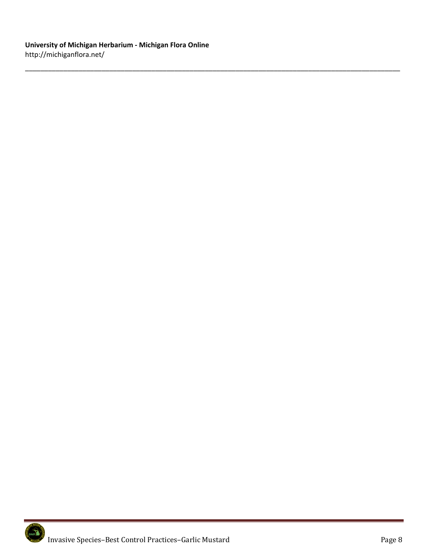\_\_\_\_\_\_\_\_\_\_\_\_\_\_\_\_\_\_\_\_\_\_\_\_\_\_\_\_\_\_\_\_\_\_\_\_\_\_\_\_\_\_\_\_\_\_\_\_\_\_\_\_\_\_\_\_\_\_\_\_\_\_\_\_\_\_\_\_\_\_\_\_\_\_\_\_\_\_\_\_\_\_\_\_\_\_\_\_\_\_\_\_\_\_\_\_\_\_